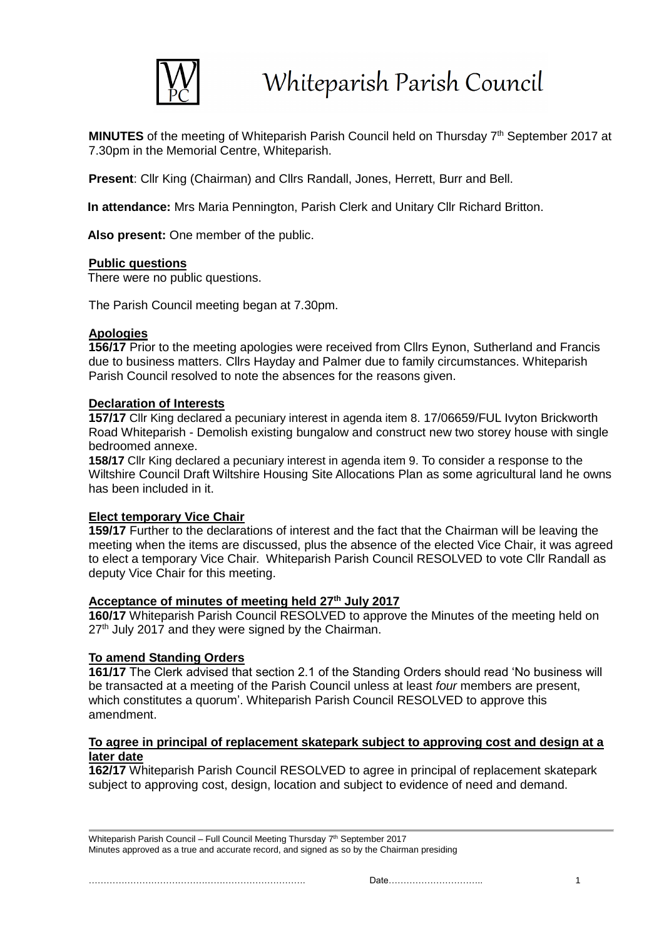

MINUTES of the meeting of Whiteparish Parish Council held on Thursday 7<sup>th</sup> September 2017 at 7.30pm in the Memorial Centre, Whiteparish.

**Present**: Cllr King (Chairman) and Cllrs Randall, Jones, Herrett, Burr and Bell.

**In attendance:** Mrs Maria Pennington, Parish Clerk and Unitary Cllr Richard Britton.

**Also present:** One member of the public.

#### **Public questions**

There were no public questions.

The Parish Council meeting began at 7.30pm.

#### **Apologies**

**156/17** Prior to the meeting apologies were received from Cllrs Eynon, Sutherland and Francis due to business matters. Cllrs Hayday and Palmer due to family circumstances. Whiteparish Parish Council resolved to note the absences for the reasons given.

#### **Declaration of Interests**

**157/17** Cllr King declared a pecuniary interest in agenda item 8. 17/06659/FUL Ivyton Brickworth Road Whiteparish - Demolish existing bungalow and construct new two storey house with single bedroomed annexe.

**158/17** Cllr King declared a pecuniary interest in agenda item 9. To consider a response to the Wiltshire Council Draft Wiltshire Housing Site Allocations Plan as some agricultural land he owns has been included in it.

### **Elect temporary Vice Chair**

**159/17** Further to the declarations of interest and the fact that the Chairman will be leaving the meeting when the items are discussed, plus the absence of the elected Vice Chair, it was agreed to elect a temporary Vice Chair. Whiteparish Parish Council RESOLVED to vote Cllr Randall as deputy Vice Chair for this meeting.

#### **Acceptance of minutes of meeting held 27th July 2017**

**160/17** Whiteparish Parish Council RESOLVED to approve the Minutes of the meeting held on 27<sup>th</sup> July 2017 and they were signed by the Chairman.

### **To amend Standing Orders**

**161/17** The Clerk advised that section 2.1 of the Standing Orders should read 'No business will be transacted at a meeting of the Parish Council unless at least *four* members are present, which constitutes a quorum'. Whiteparish Parish Council RESOLVED to approve this amendment.

#### **To agree in principal of replacement skatepark subject to approving cost and design at a later date**

**162/17** Whiteparish Parish Council RESOLVED to agree in principal of replacement skatepark subject to approving cost, design, location and subject to evidence of need and demand.

Whiteparish Parish Council - Full Council Meeting Thursday 7<sup>th</sup> September 2017 Minutes approved as a true and accurate record, and signed as so by the Chairman presiding

………………………………………………………………. Date………………………….. 1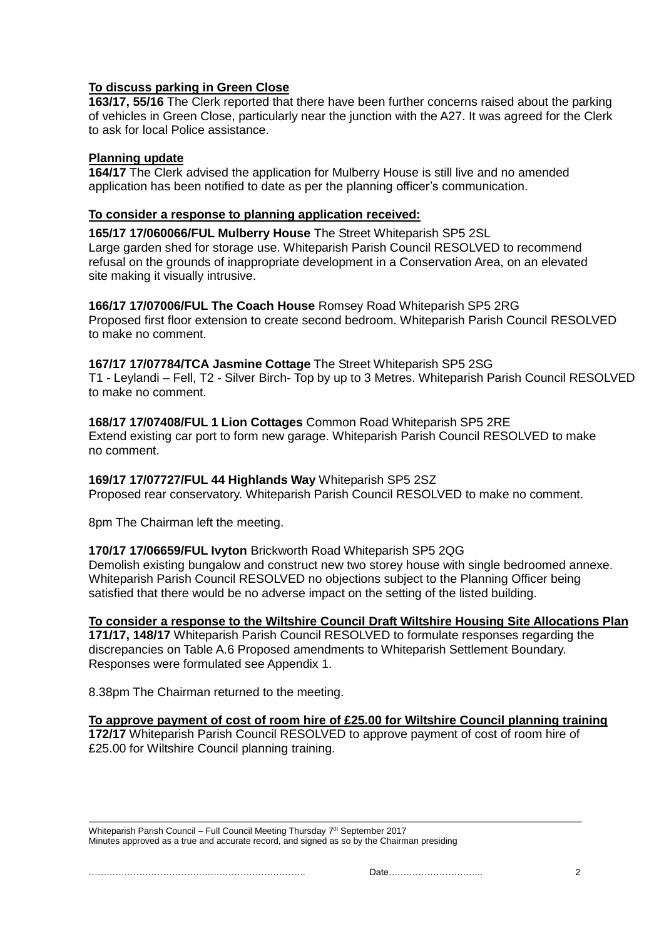# **To discuss parking in Green Close**

**163/17, 55/16** The Clerk reported that there have been further concerns raised about the parking of vehicles in Green Close, particularly near the junction with the A27. It was agreed for the Clerk to ask for local Police assistance.

# **Planning update**

**164/17** The Clerk advised the application for Mulberry House is still live and no amended application has been notified to date as per the planning officer's communication.

# **To consider a response to planning application received:**

 **165/17 17/060066/FUL Mulberry House** The Street Whiteparish SP5 2SL Large garden shed for storage use. Whiteparish Parish Council RESOLVED to recommend refusal on the grounds of inappropriate development in a Conservation Area, on an elevated site making it visually intrusive.

 **166/17 17/07006/FUL The Coach House** Romsey Road Whiteparish SP5 2RG Proposed first floor extension to create second bedroom. Whiteparish Parish Council RESOLVED to make no comment.

### **167/17 17/07784/TCA Jasmine Cottage** The Street Whiteparish SP5 2SG

T1 - Leylandi – Fell, T2 - Silver Birch- Top by up to 3 Metres. Whiteparish Parish Council RESOLVED to make no comment.

### **168/17 17/07408/FUL 1 Lion Cottages** Common Road Whiteparish SP5 2RE

Extend existing car port to form new garage. Whiteparish Parish Council RESOLVED to make no comment.

### **169/17 17/07727/FUL 44 Highlands Way** Whiteparish SP5 2SZ

Proposed rear conservatory. Whiteparish Parish Council RESOLVED to make no comment.

8pm The Chairman left the meeting.

### **170/17 17/06659/FUL Ivyton** Brickworth Road Whiteparish SP5 2QG

Demolish existing bungalow and construct new two storey house with single bedroomed annexe. Whiteparish Parish Council RESOLVED no objections subject to the Planning Officer being satisfied that there would be no adverse impact on the setting of the listed building.

### **To consider a response to the Wiltshire Council Draft Wiltshire Housing Site Allocations Plan**

**171/17, 148/17** Whiteparish Parish Council RESOLVED to formulate responses regarding the discrepancies on Table A.6 Proposed amendments to Whiteparish Settlement Boundary. Responses were formulated see Appendix 1.

8.38pm The Chairman returned to the meeting.

### **To approve payment of cost of room hire of £25.00 for Wiltshire Council planning training**

**172/17** Whiteparish Parish Council RESOLVED to approve payment of cost of room hire of £25.00 for Wiltshire Council planning training.

Whiteparish Parish Council – Full Council Meeting Thursday 7<sup>th</sup> September 2017 Minutes approved as a true and accurate record, and signed as so by the Chairman presiding

………………………………………………………………. Date………………………….. 2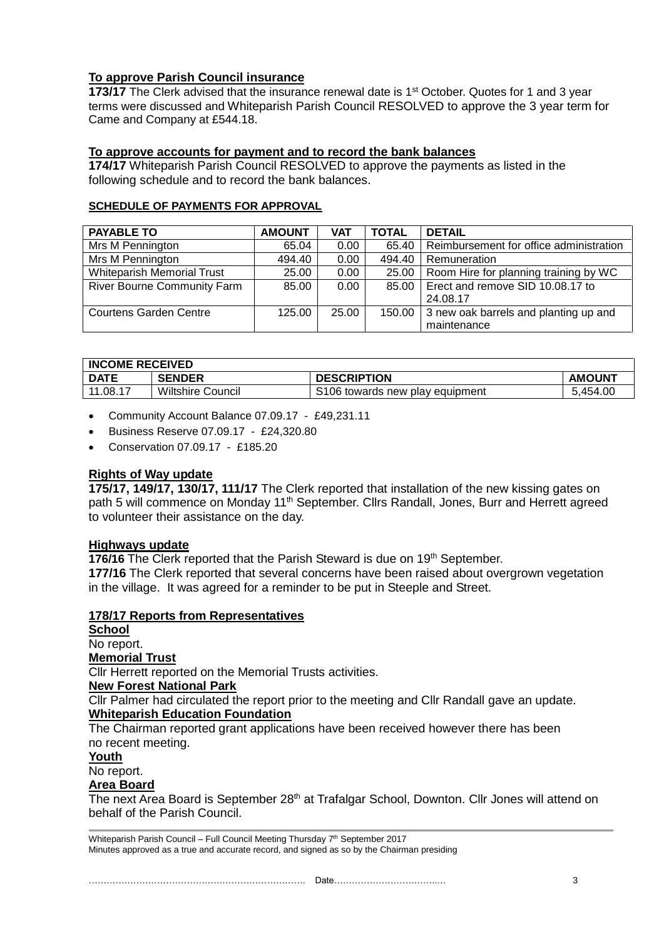# **To approve Parish Council insurance**

**173/17** The Clerk advised that the insurance renewal date is 1<sup>st</sup> October. Quotes for 1 and 3 year terms were discussed and Whiteparish Parish Council RESOLVED to approve the 3 year term for Came and Company at £544.18.

# **To approve accounts for payment and to record the bank balances**

**174/17** Whiteparish Parish Council RESOLVED to approve the payments as listed in the following schedule and to record the bank balances.

# **SCHEDULE OF PAYMENTS FOR APPROVAL**

| <b>PAYABLE TO</b>                  | <b>AMOUNT</b> | <b>VAT</b> | <b>TOTAL</b> | <b>DETAIL</b>                           |
|------------------------------------|---------------|------------|--------------|-----------------------------------------|
| Mrs M Pennington                   | 65.04         | 0.00       | 65.40        | Reimbursement for office administration |
| Mrs M Pennington                   | 494.40        | 0.00       | 494.40       | Remuneration                            |
| <b>Whiteparish Memorial Trust</b>  | 25.00         | 0.00       | 25.00        | Room Hire for planning training by WC   |
| <b>River Bourne Community Farm</b> | 85.00         | 0.00       | 85.00        | Erect and remove SID 10.08.17 to        |
|                                    |               |            |              | 24.08.17                                |
| <b>Courtens Garden Centre</b>      | 125.00        | 25.00      | 150.00       | 3 new oak barrels and planting up and   |
|                                    |               |            |              | maintenance                             |

| <b>INCOME RECEIVED</b> |                          |                                 |               |
|------------------------|--------------------------|---------------------------------|---------------|
| <b>DATE</b>            | <b>SENDER</b>            | <b>DESCRIPTION</b>              | <b>AMOUNT</b> |
| 11.08.17               | <b>Wiltshire Council</b> | S106 towards new play equipment | 5.454.00      |

- Community Account Balance 07.09.17 £49,231.11
- Business Reserve 07.09.17 £24,320.80
- Conservation 07.09.17 £185.20

### **Rights of Way update**

**175/17, 149/17, 130/17, 111/17** The Clerk reported that installation of the new kissing gates on path 5 will commence on Monday 11<sup>th</sup> September. Cllrs Randall, Jones, Burr and Herrett agreed to volunteer their assistance on the day.

#### **Highways update**

**176/16** The Clerk reported that the Parish Steward is due on 19<sup>th</sup> September.

**177/16** The Clerk reported that several concerns have been raised about overgrown vegetation in the village. It was agreed for a reminder to be put in Steeple and Street.

### **178/17 Reports from Representatives**

**School**

No report.

# **Memorial Trust**

Cllr Herrett reported on the Memorial Trusts activities.

#### **New Forest National Park**

Cllr Palmer had circulated the report prior to the meeting and Cllr Randall gave an update. **Whiteparish Education Foundation**

The Chairman reported grant applications have been received however there has been no recent meeting.

#### **Youth**

No report.

#### **Area Board**

The next Area Board is September 28<sup>th</sup> at Trafalgar School, Downton. Cllr Jones will attend on behalf of the Parish Council.

Whiteparish Parish Council - Full Council Meeting Thursday 7<sup>th</sup> September 2017 Minutes approved as a true and accurate record, and signed as so by the Chairman presiding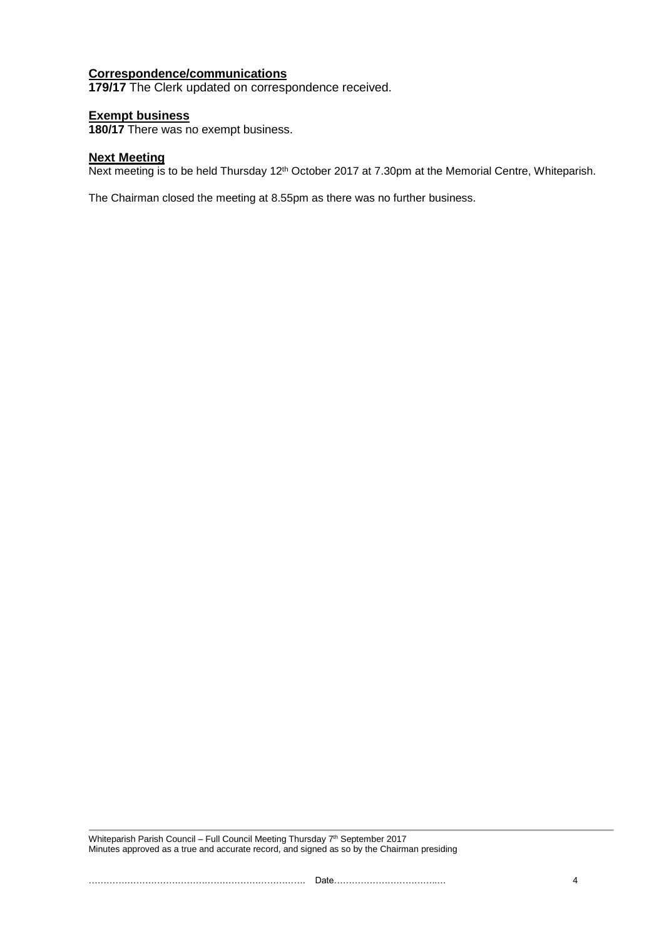#### **Correspondence/communications**

**179/17** The Clerk updated on correspondence received.

#### **Exempt business**

**180/17** There was no exempt business.

#### **Next Meeting**

Next meeting is to be held Thursday 12<sup>th</sup> October 2017 at 7.30pm at the Memorial Centre, Whiteparish.

The Chairman closed the meeting at 8.55pm as there was no further business.

Whiteparish Parish Council - Full Council Meeting Thursday 7<sup>th</sup> September 2017 Minutes approved as a true and accurate record, and signed as so by the Chairman presiding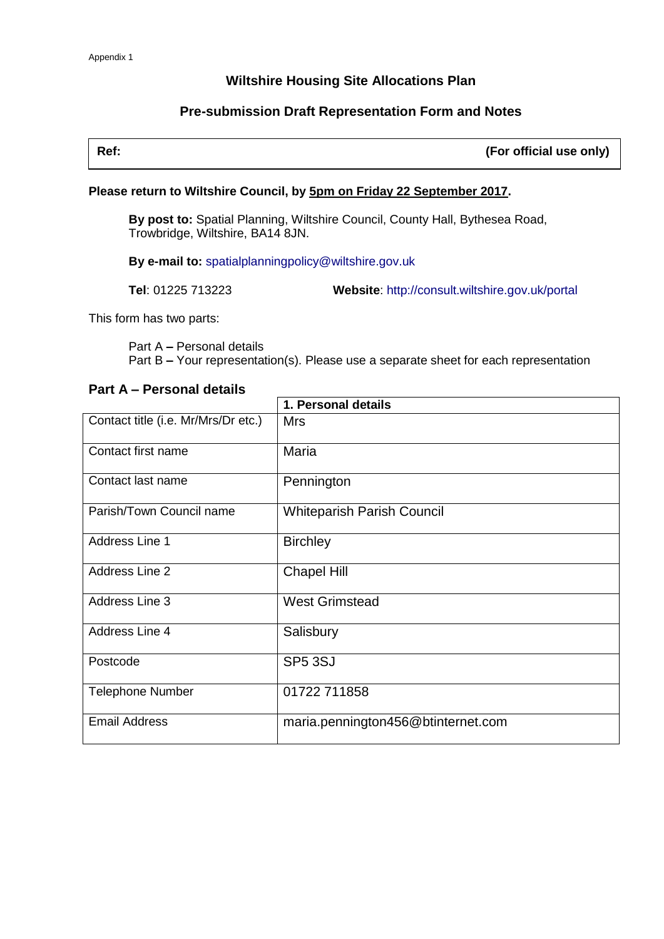# **Wiltshire Housing Site Allocations Plan**

# **Pre-submission Draft Representation Form and Notes**

| Ref: | (For official use only) |
|------|-------------------------|
|      |                         |

#### **Please return to Wiltshire Council, by 5pm on Friday 22 September 2017.**

**By post to:** Spatial Planning, Wiltshire Council, County Hall, Bythesea Road, Trowbridge, Wiltshire, BA14 8JN.

**By e-mail to:** [spatialplanningpolicy@wiltshire.gov.uk](mailto:spatialplanningpolicy@wiltshire.gov.uk) 

**Tel**: 01225 713223 **Website**:<http://consult.wiltshire.gov.uk/portal>

This form has two parts:

Part A **–** Personal details Part B **–** Your representation(s). Please use a separate sheet for each representation

### **Part A – Personal details**

|                                     | 1. Personal details                |
|-------------------------------------|------------------------------------|
| Contact title (i.e. Mr/Mrs/Dr etc.) | <b>Mrs</b>                         |
| Contact first name                  | Maria                              |
| Contact last name                   | Pennington                         |
| Parish/Town Council name            | <b>Whiteparish Parish Council</b>  |
| Address Line 1                      | <b>Birchley</b>                    |
| Address Line 2                      | <b>Chapel Hill</b>                 |
| Address Line 3                      | <b>West Grimstead</b>              |
| Address Line 4                      | Salisbury                          |
| Postcode                            | SP <sub>5</sub> 3SJ                |
| <b>Telephone Number</b>             | 01722 711858                       |
| <b>Email Address</b>                | maria.pennington456@btinternet.com |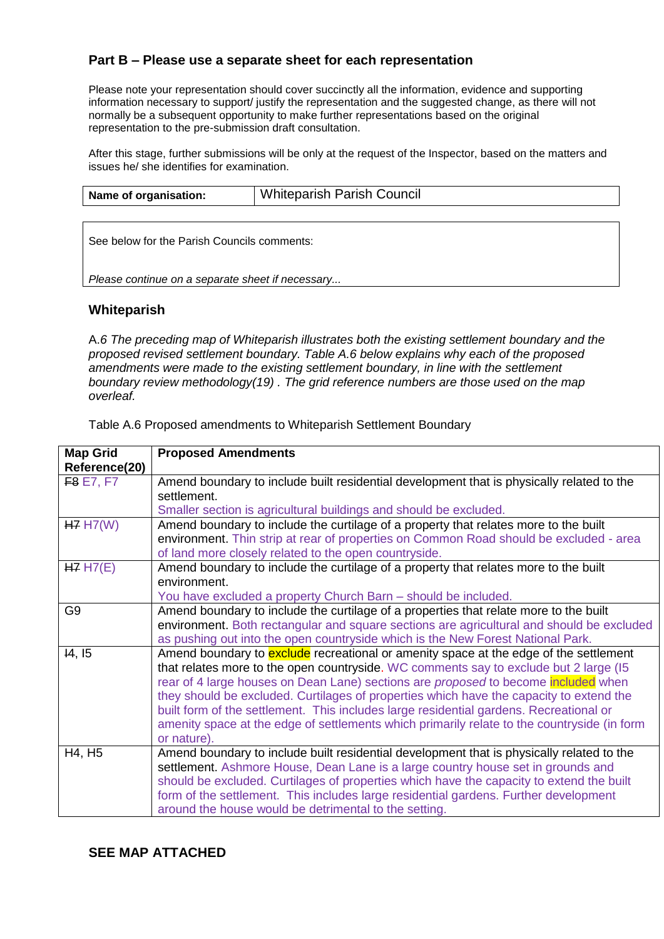# **Part B – Please use a separate sheet for each representation**

Please note your representation should cover succinctly all the information, evidence and supporting information necessary to support/ justify the representation and the suggested change, as there will not normally be a subsequent opportunity to make further representations based on the original representation to the pre-submission draft consultation.

After this stage, further submissions will be only at the request of the Inspector, based on the matters and issues he/ she identifies for examination.

| Name of organisation: | <b>Whiteparish Parish Council</b> |
|-----------------------|-----------------------------------|
|                       |                                   |

See below for the Parish Councils comments:

*Please continue on a separate sheet if necessary...*

#### **Whiteparish**

A.*6 The preceding map of Whiteparish illustrates both the existing settlement boundary and the proposed revised settlement boundary. Table A.6 below explains why each of the proposed amendments were made to the existing settlement boundary, in line with the settlement boundary review methodology(19) . The grid reference numbers are those used on the map overleaf.*

| <b>Map Grid</b><br>Reference(20) | <b>Proposed Amendments</b>                                                                               |
|----------------------------------|----------------------------------------------------------------------------------------------------------|
| <b>F8 E7, F7</b>                 | Amend boundary to include built residential development that is physically related to the<br>settlement. |
|                                  | Smaller section is agricultural buildings and should be excluded.                                        |
| H7 H7(W)                         | Amend boundary to include the curtilage of a property that relates more to the built                     |
|                                  | environment. Thin strip at rear of properties on Common Road should be excluded - area                   |
|                                  | of land more closely related to the open countryside.                                                    |
| HZ H7(E)                         | Amend boundary to include the curtilage of a property that relates more to the built                     |
|                                  | environment.                                                                                             |
|                                  | You have excluded a property Church Barn - should be included.                                           |
| G <sub>9</sub>                   | Amend boundary to include the curtilage of a properties that relate more to the built                    |
|                                  | environment. Both rectangular and square sections are agricultural and should be excluded                |
|                                  | as pushing out into the open countryside which is the New Forest National Park.                          |
| 14, 15                           | Amend boundary to exclude recreational or amenity space at the edge of the settlement                    |
|                                  | that relates more to the open countryside. WC comments say to exclude but 2 large (15)                   |
|                                  | rear of 4 large houses on Dean Lane) sections are <i>proposed</i> to become included when                |
|                                  | they should be excluded. Curtilages of properties which have the capacity to extend the                  |
|                                  | built form of the settlement. This includes large residential gardens. Recreational or                   |
|                                  | amenity space at the edge of settlements which primarily relate to the countryside (in form              |
|                                  | or nature).                                                                                              |
| H4, H <sub>5</sub>               | Amend boundary to include built residential development that is physically related to the                |
|                                  | settlement. Ashmore House, Dean Lane is a large country house set in grounds and                         |
|                                  | should be excluded. Curtilages of properties which have the capacity to extend the built                 |
|                                  | form of the settlement. This includes large residential gardens. Further development                     |
|                                  | around the house would be detrimental to the setting.                                                    |